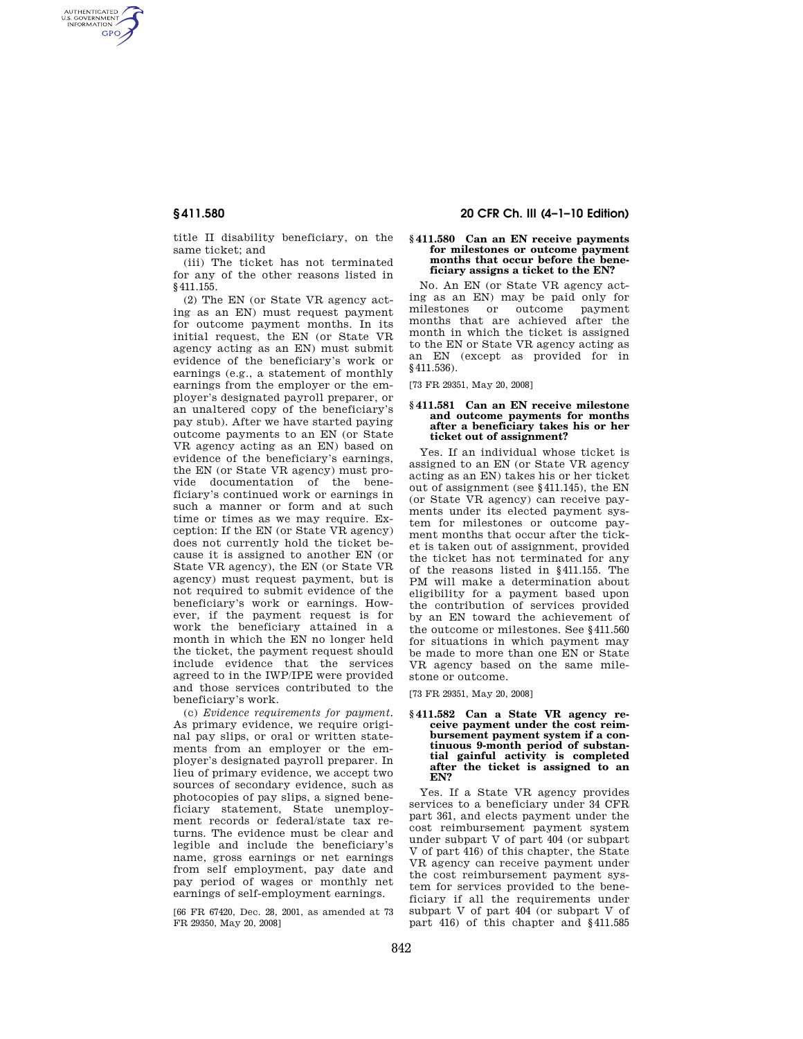AUTHENTICATED<br>U.S. GOVERNMENT<br>INFORMATION **GPO** 

> title II disability beneficiary, on the same ticket; and

> (iii) The ticket has not terminated for any of the other reasons listed in §411.155.

(2) The EN (or State VR agency acting as an EN) must request payment for outcome payment months. In its initial request, the EN (or State VR agency acting as an EN) must submit evidence of the beneficiary's work or earnings (e.g., a statement of monthly earnings from the employer or the employer's designated payroll preparer, or an unaltered copy of the beneficiary's pay stub). After we have started paying outcome payments to an EN (or State VR agency acting as an EN) based on evidence of the beneficiary's earnings, the EN (or State VR agency) must provide documentation of the beneficiary's continued work or earnings in such a manner or form and at such time or times as we may require. Exception: If the EN (or State VR agency) does not currently hold the ticket because it is assigned to another EN (or State VR agency), the EN (or State VR agency) must request payment, but is not required to submit evidence of the beneficiary's work or earnings. However, if the payment request is for work the beneficiary attained in a month in which the EN no longer held the ticket, the payment request should include evidence that the services agreed to in the IWP/IPE were provided and those services contributed to the beneficiary's work.

(c) *Evidence requirements for payment.*  As primary evidence, we require original pay slips, or oral or written statements from an employer or the employer's designated payroll preparer. In lieu of primary evidence, we accept two sources of secondary evidence, such as photocopies of pay slips, a signed beneficiary statement, State unemployment records or federal/state tax returns. The evidence must be clear and legible and include the beneficiary's name, gross earnings or net earnings from self employment, pay date and pay period of wages or monthly net earnings of self-employment earnings.

[66 FR 67420, Dec. 28, 2001, as amended at 73 FR 29350, May 20, 2008]

# **§ 411.580 20 CFR Ch. III (4–1–10 Edition)**

# **§ 411.580 Can an EN receive payments for milestones or outcome payment months that occur before the beneficiary assigns a ticket to the EN?**

No. An EN (or State VR agency acting as an EN) may be paid only for milestones or outcome payment months that are achieved after the month in which the ticket is assigned to the EN or State VR agency acting as an EN (except as provided for in §411.536).

[73 FR 29351, May 20, 2008]

## **§ 411.581 Can an EN receive milestone and outcome payments for months after a beneficiary takes his or her ticket out of assignment?**

Yes. If an individual whose ticket is assigned to an EN (or State VR agency acting as an EN) takes his or her ticket out of assignment (see §411.145), the EN (or State VR agency) can receive payments under its elected payment system for milestones or outcome payment months that occur after the ticket is taken out of assignment, provided the ticket has not terminated for any of the reasons listed in §411.155. The PM will make a determination about eligibility for a payment based upon the contribution of services provided by an EN toward the achievement of the outcome or milestones. See §411.560 for situations in which payment may be made to more than one EN or State VR agency based on the same milestone or outcome.

[73 FR 29351, May 20, 2008]

**§ 411.582 Can a State VR agency receive payment under the cost reimbursement payment system if a continuous 9-month period of substantial gainful activity is completed after the ticket is assigned to an EN?** 

Yes. If a State VR agency provides services to a beneficiary under 34 CFR part 361, and elects payment under the cost reimbursement payment system under subpart V of part 404 (or subpart V of part 416) of this chapter, the State VR agency can receive payment under the cost reimbursement payment system for services provided to the beneficiary if all the requirements under subpart V of part 404 (or subpart V of part 416) of this chapter and §411.585